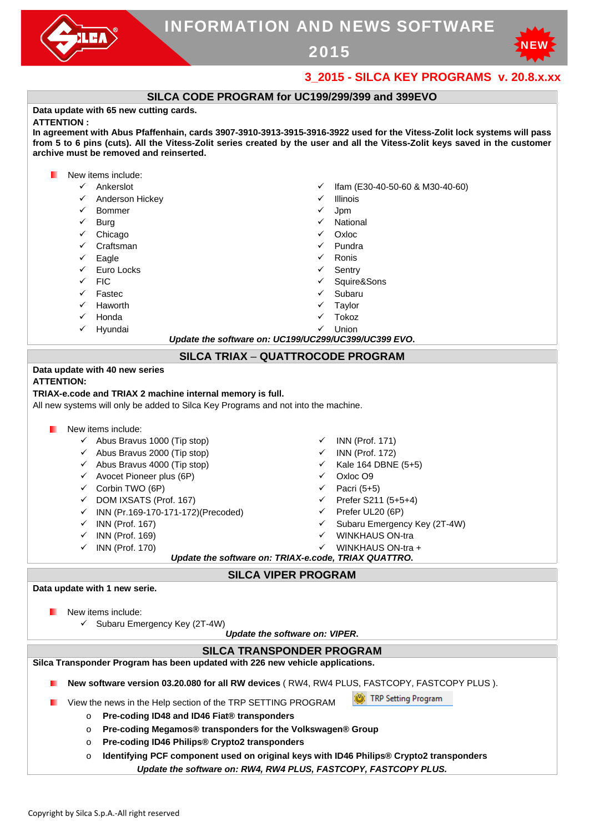

# INFORMATION AND NEWS SOFTWARE



# **3\_2015 - SILCA KEY PROGRAMS v. 20.8.x.xx**

#### **SILCA CODE PROGRAM for UC199/299/399 and 399EVO Data update with 65 new cutting cards. ATTENTION : In agreement with Abus Pfaffenhain, cards 3907-3910-3913-3915-3916-3922 used for the Vitess-Zolit lock systems will pass from 5 to 6 pins (cuts). All the Vitess-Zolit series created by the user and all the Vitess-Zolit keys saved in the customer archive must be removed and reinserted.**  New items include: Ankerslot Ifam (E30-40-50-60 & M30-40-60) Anderson Hickey Illinois Jpm Bommer  $\checkmark$  Burg National **Oxloc**  $\checkmark$  Chicago Craftsman Pundra Ronis  $\checkmark$  Eagle Euro Locks **Sentry**  $\sqrt{FIC}$  Squire&Sons Fastec Subaru Haworth Taylor Honda Tokoz  $\checkmark$  Hyundai Union *Update the software on: UC199/UC299/UC399/UC399 EVO***. SILCA TRIAX** – **QUATTROCODE PROGRAM Data update with 40 new series ATTENTION: TRIAX-e.code and TRIAX 2 machine internal memory is full.**  All new systems will only be added to Silca Key Programs and not into the machine. **New items include:**  $\checkmark$  Abus Bravus 1000 (Tip stop) INN (Prof. 171)  $\checkmark$  Abus Bravus 2000 (Tip stop)  $\checkmark$  INN (Prof. 172)  $\checkmark$  Abus Bravus 4000 (Tip stop)  $\checkmark$  Kale 164 DBNE (5+5)  $\checkmark$  Avocet Pioneer plus (6P) Oxloc O9  $\checkmark$  Corbin TWO (6P) Pacri (5+5)  $\checkmark$  DOM IXSATS (Prof. 167)  $V$  Prefer S211 (5+5+4)  $\nu$  INN (Pr.169-170-171-172)(Precoded)  $\checkmark$  Prefer UL20 (6P)  $\checkmark$  INN (Prof. 167)  $\checkmark$  Subaru Emergency Key (2T-4W)  $\checkmark$  INN (Prof. 169) WINKHAUS ON-tra  $\checkmark$  INN (Prof. 170)  $\checkmark$  WINKHAUS ON-tra + *Update the software on: TRIAX-e.code, TRIAX QUATTRO***. SILCA VIPER PROGRAM Data update with 1 new serie. New items include:**  $\checkmark$  Subaru Emergency Key (2T-4W) *Update the software on: VIPER***. SILCA TRANSPONDER PROGRAM Silca Transponder Program has been updated with 226 new vehicle applications. New software version 03.20.080 for all RW devices** ( RW4, RW4 PLUS, FASTCOPY, FASTCOPY PLUS ). TRP Setting Program View the news in the Help section of the TRP SETTING PROGRAM o **Pre-coding ID48 and ID46 Fiat® transponders**  o **Pre-coding Megamos® transponders for the Volkswagen® Group**  o **Pre-coding ID46 Philips® Crypto2 transponders**  o **Identifying PCF component used on original keys with ID46 Philips® Crypto2 transponders**  *Update the software on: RW4, RW4 PLUS, FASTCOPY, FASTCOPY PLUS.*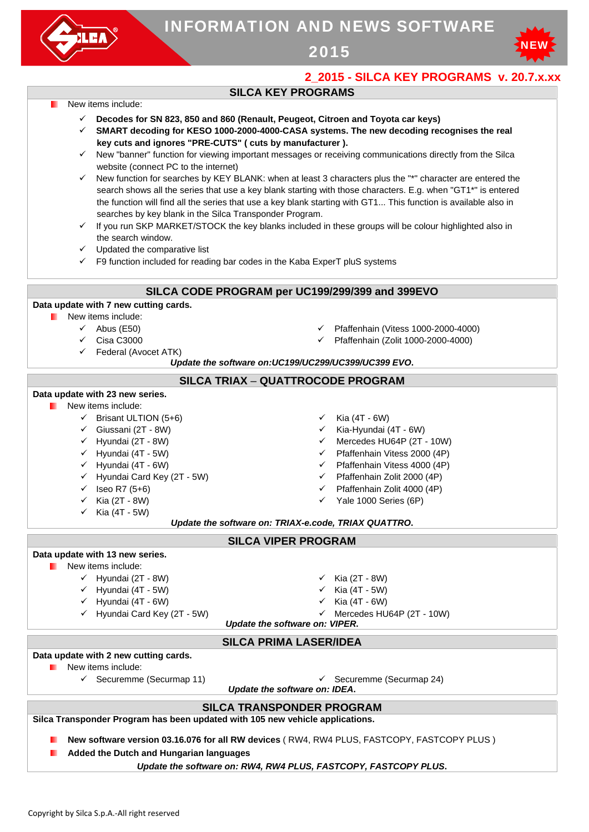

# INFORMATION AND NEWS SOFTWARE



# **2\_2015 - SILCA KEY PROGRAMS v. 20.7.x.xx**

# **SILCA KEY PROGRAMS**

#### New items include:

- **Decodes for SN 823, 850 and 860 (Renault, Peugeot, Citroen and Toyota car keys)**
- **SMART decoding for KESO 1000-2000-4000-CASA systems. The new decoding recognises the real key cuts and ignores "PRE-CUTS" ( cuts by manufacturer ).**
- $\checkmark$  New "banner" function for viewing important messages or receiving communications directly from the Silca website (connect PC to the internet)
- $\checkmark$  New function for searches by KEY BLANK: when at least 3 characters plus the "\*" character are entered the search shows all the series that use a key blank starting with those characters. E.g. when "GT1\*" is entered the function will find all the series that use a key blank starting with GT1... This function is available also in searches by key blank in the Silca Transponder Program.
- $\checkmark$  If you run SKP MARKET/STOCK the key blanks included in these groups will be colour highlighted also in the search window.
- $\checkmark$  Updated the comparative list
- $\checkmark$  F9 function included for reading bar codes in the Kaba ExperT pluS systems

### **SILCA CODE PROGRAM per UC199/299/399 and 399EVO**

### **Data update with 7 new cutting cards.**

- **New items include:** 
	- $\checkmark$  Abus (E50)
	- $\checkmark$  Cisa C3000
		- $\checkmark$  Federal (Avocet ATK)
- Pfaffenhain (Vitess 1000-2000-4000)
- Pfaffenhain (Zolit 1000-2000-4000)
- *Update the software on:UC199/UC299/UC399/UC399 EVO***.**

## **SILCA TRIAX** – **QUATTROCODE PROGRAM**

#### **Data update with 23 new series.**  New items include:

- $\checkmark$  Brisant ULTION (5+6)  $\checkmark$  Kia (4T 6W)
- Giussani (2T 8W) Kia-Hyundai (4T 6W)
- $\checkmark$  Hyundai (2T 8W)  $\checkmark$  Mercedes HU64P (2T 10W)
- 
- 
- Hyundai Card Key (2T 5W) Pfaffenhain Zolit 2000 (4P)
- 
- 
- $\checkmark$  Kia (4T 5W)
- 
- 
- 
- Hyundai (4T 5W) Pfaffenhain Vitess 2000 (4P)
- Hyundai (4T 6W) Pfaffenhain Vitess 4000 (4P)
	-
- $\checkmark$  Iseo R7 (5+6)  $\checkmark$  Pfaffenhain Zolit 4000 (4P)
- $\checkmark$  Kia (2T 8W)  $\checkmark$  Yale 1000 Series (6P)

*Update the software on: TRIAX-e.code, TRIAX QUATTRO***.**

## **SILCA VIPER PROGRAM**

# **Data update with 13 new series.**

- **New items include:** 
	- $\checkmark$  Hyundai (2T 8W)  $\checkmark$  Kia (2T 8W)
	- $\checkmark$  Hyundai (4T 5W)  $\checkmark$  Kia (4T 5W)
	- $\checkmark$  Hyundai (4T 6W)  $\checkmark$  Kia (4T 6W)
	-
- 
- 
- Hyundai Card Key (2T 5W) Mercedes HU64P (2T 10W)
	- *Update the software on: VIPER***.**

# **SILCA PRIMA LASER/IDEA**

**Data update with 2 new cutting cards.** 

- New items include:
	-
	- Securemme (Securmap 11) Securemme (Securmap 24) *Update the software on: IDEA***.**

# **SILCA TRANSPONDER PROGRAM**

**Silca Transponder Program has been updated with 105 new vehicle applications.**

**New software version 03.16.076 for all RW devices** ( RW4, RW4 PLUS, FASTCOPY, FASTCOPY PLUS )

**Added the Dutch and Hungarian languages**

*Update the software on: RW4, RW4 PLUS, FASTCOPY, FASTCOPY PLUS***.**